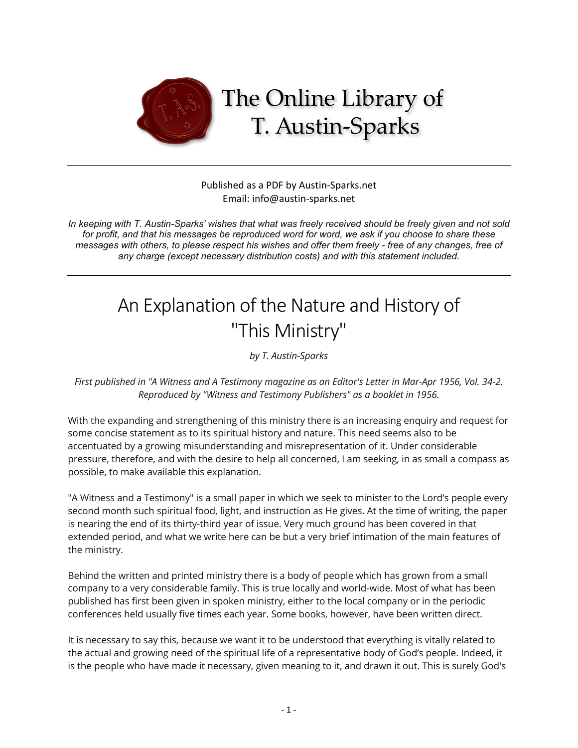

## Published as a PDF by Austin-Sparks.net Email: info@austin-sparks.net

*In keeping with T. Austin-Sparks' wishes that what was freely received should be freely given and not sold for profit, and that his messages be reproduced word for word, we ask if you choose to share these messages with others, to please respect his wishes and offer them freely - free of any changes, free of any charge (except necessary distribution costs) and with this statement included.*

# An Explanation of the Nature and History of "This Ministry"

*by T. Austin-Sparks*

*First published in "A Witness and A Testimony magazine as an Editor's Letter in Mar-Apr 1956, Vol. 34-2. Reproduced by "Witness and Testimony Publishers" as a booklet in 1956.*

With the expanding and strengthening of this ministry there is an increasing enquiry and request for some concise statement as to its spiritual history and nature. This need seems also to be accentuated by a growing misunderstanding and misrepresentation of it. Under considerable pressure, therefore, and with the desire to help all concerned, I am seeking, in as small a compass as possible, to make available this explanation.

"A Witness and a Testimony" is a small paper in which we seek to minister to the Lord's people every second month such spiritual food, light, and instruction as He gives. At the time of writing, the paper is nearing the end of its thirty-third year of issue. Very much ground has been covered in that extended period, and what we write here can be but a very brief intimation of the main features of the ministry.

Behind the written and printed ministry there is a body of people which has grown from a small company to a very considerable family. This is true locally and world-wide. Most of what has been published has first been given in spoken ministry, either to the local company or in the periodic conferences held usually five times each year. Some books, however, have been written direct.

It is necessary to say this, because we want it to be understood that everything is vitally related to the actual and growing need of the spiritual life of a representative body of God's people. Indeed, it is the people who have made it necessary, given meaning to it, and drawn it out. This is surely God's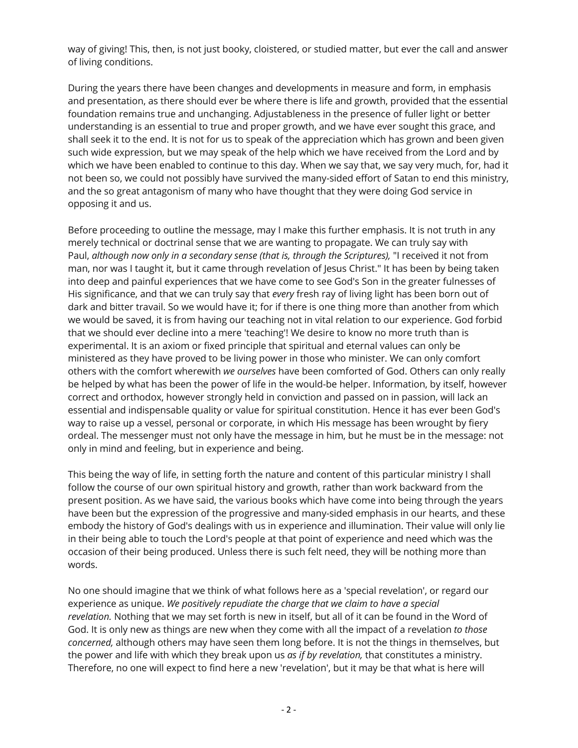way of giving! This, then, is not just booky, cloistered, or studied matter, but ever the call and answer of living conditions.

During the years there have been changes and developments in measure and form, in emphasis and presentation, as there should ever be where there is life and growth, provided that the essential foundation remains true and unchanging. Adjustableness in the presence of fuller light or better understanding is an essential to true and proper growth, and we have ever sought this grace, and shall seek it to the end. It is not for us to speak of the appreciation which has grown and been given such wide expression, but we may speak of the help which we have received from the Lord and by which we have been enabled to continue to this day. When we say that, we say very much, for, had it not been so, we could not possibly have survived the many-sided effort of Satan to end this ministry, and the so great antagonism of many who have thought that they were doing God service in opposing it and us.

Before proceeding to outline the message, may I make this further emphasis. It is not truth in any merely technical or doctrinal sense that we are wanting to propagate. We can truly say with Paul, *although now only in a secondary sense (that is, through the Scriptures),* "I received it not from man, nor was I taught it, but it came through revelation of Jesus Christ." It has been by being taken into deep and painful experiences that we have come to see God's Son in the greater fulnesses of His significance, and that we can truly say that *every* fresh ray of living light has been born out of dark and bitter travail. So we would have it; for if there is one thing more than another from which we would be saved, it is from having our teaching not in vital relation to our experience. God forbid that we should ever decline into a mere 'teaching'! We desire to know no more truth than is experimental. It is an axiom or fixed principle that spiritual and eternal values can only be ministered as they have proved to be living power in those who minister. We can only comfort others with the comfort wherewith *we ourselves* have been comforted of God. Others can only really be helped by what has been the power of life in the would-be helper. Information, by itself, however correct and orthodox, however strongly held in conviction and passed on in passion, will lack an essential and indispensable quality or value for spiritual constitution. Hence it has ever been God's way to raise up a vessel, personal or corporate, in which His message has been wrought by fiery ordeal. The messenger must not only have the message in him, but he must be in the message: not only in mind and feeling, but in experience and being.

This being the way of life, in setting forth the nature and content of this particular ministry I shall follow the course of our own spiritual history and growth, rather than work backward from the present position. As we have said, the various books which have come into being through the years have been but the expression of the progressive and many-sided emphasis in our hearts, and these embody the history of God's dealings with us in experience and illumination. Their value will only lie in their being able to touch the Lord's people at that point of experience and need which was the occasion of their being produced. Unless there is such felt need, they will be nothing more than words.

No one should imagine that we think of what follows here as a 'special revelation', or regard our experience as unique. *We positively repudiate the charge that we claim to have a special revelation.* Nothing that we may set forth is new in itself, but all of it can be found in the Word of God. It is only new as things are new when they come with all the impact of a revelation *to those concerned,* although others may have seen them long before. It is not the things in themselves, but the power and life with which they break upon us *as if by revelation,* that constitutes a ministry. Therefore, no one will expect to find here a new 'revelation', but it may be that what is here will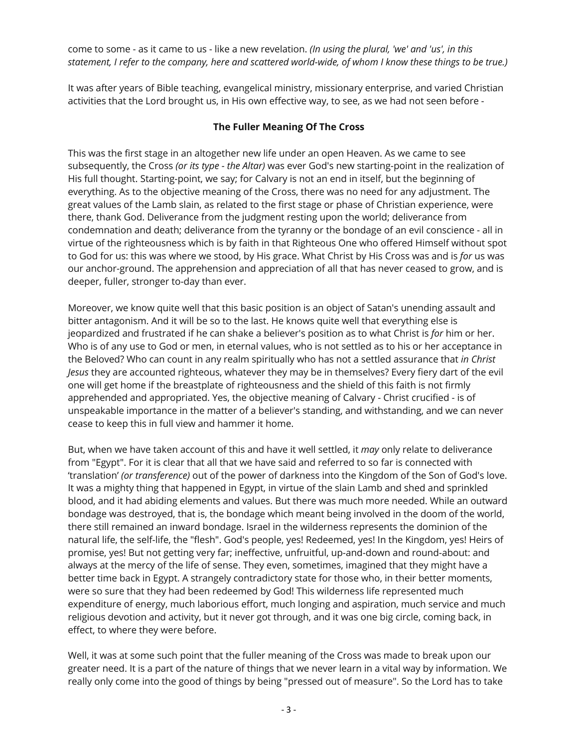come to some - as it came to us - like a new revelation. *(In using the plural, 'we' and 'us', in this statement, I refer to the company, here and scattered world-wide, of whom I know these things to be true.)*

It was after years of Bible teaching, evangelical ministry, missionary enterprise, and varied Christian activities that the Lord brought us, in His own effective way, to see, as we had not seen before -

# **The Fuller Meaning Of The Cross**

This was the first stage in an altogether new life under an open Heaven. As we came to see subsequently, the Cross *(or its type - the Altar)* was ever God's new starting-point in the realization of His full thought. Starting-point, we say; for Calvary is not an end in itself, but the beginning of everything. As to the objective meaning of the Cross, there was no need for any adjustment. The great values of the Lamb slain, as related to the first stage or phase of Christian experience, were there, thank God. Deliverance from the judgment resting upon the world; deliverance from condemnation and death; deliverance from the tyranny or the bondage of an evil conscience - all in virtue of the righteousness which is by faith in that Righteous One who offered Himself without spot to God for us: this was where we stood, by His grace. What Christ by His Cross was and is *for* us was our anchor-ground. The apprehension and appreciation of all that has never ceased to grow, and is deeper, fuller, stronger to-day than ever.

Moreover, we know quite well that this basic position is an object of Satan's unending assault and bitter antagonism. And it will be so to the last. He knows quite well that everything else is jeopardized and frustrated if he can shake a believer's position as to what Christ is *for* him or her. Who is of any use to God or men, in eternal values, who is not settled as to his or her acceptance in the Beloved? Who can count in any realm spiritually who has not a settled assurance that *in Christ Jesus* they are accounted righteous, whatever they may be in themselves? Every fiery dart of the evil one will get home if the breastplate of righteousness and the shield of this faith is not firmly apprehended and appropriated. Yes, the objective meaning of Calvary - Christ crucified - is of unspeakable importance in the matter of a believer's standing, and withstanding, and we can never cease to keep this in full view and hammer it home.

But, when we have taken account of this and have it well settled, it *may* only relate to deliverance from "Egypt". For it is clear that all that we have said and referred to so far is connected with 'translation' *(or transference)* out of the power of darkness into the Kingdom of the Son of God's love. It was a mighty thing that happened in Egypt, in virtue of the slain Lamb and shed and sprinkled blood, and it had abiding elements and values. But there was much more needed. While an outward bondage was destroyed, that is, the bondage which meant being involved in the doom of the world, there still remained an inward bondage. Israel in the wilderness represents the dominion of the natural life, the self-life, the "flesh". God's people, yes! Redeemed, yes! In the Kingdom, yes! Heirs of promise, yes! But not getting very far; ineffective, unfruitful, up-and-down and round-about: and always at the mercy of the life of sense. They even, sometimes, imagined that they might have a better time back in Egypt. A strangely contradictory state for those who, in their better moments, were so sure that they had been redeemed by God! This wilderness life represented much expenditure of energy, much laborious effort, much longing and aspiration, much service and much religious devotion and activity, but it never got through, and it was one big circle, coming back, in effect, to where they were before.

Well, it was at some such point that the fuller meaning of the Cross was made to break upon our greater need. It is a part of the nature of things that we never learn in a vital way by information. We really only come into the good of things by being "pressed out of measure". So the Lord has to take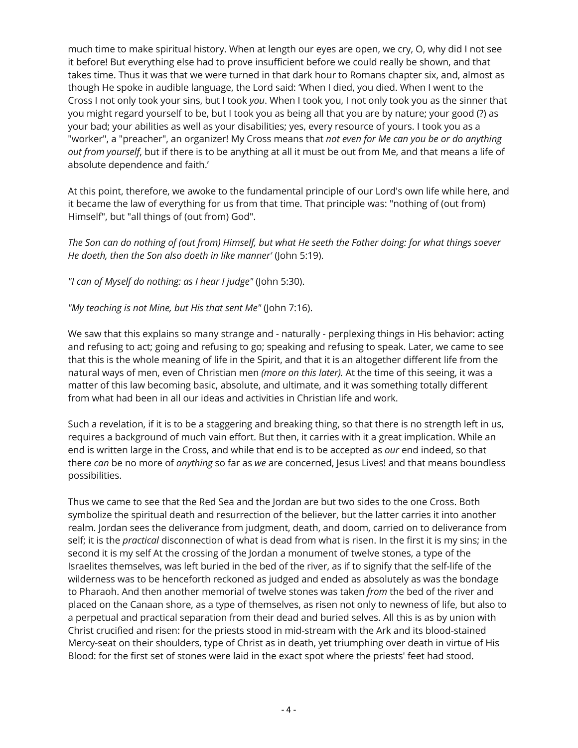much time to make spiritual history. When at length our eyes are open, we cry, O, why did I not see it before! But everything else had to prove insufficient before we could really be shown, and that takes time. Thus it was that we were turned in that dark hour to Romans chapter six, and, almost as though He spoke in audible language, the Lord said: 'When I died, you died. When I went to the Cross I not only took your sins, but I took *you*. When I took you, I not only took you as the sinner that you might regard yourself to be, but I took you as being all that you are by nature; your good (?) as your bad; your abilities as well as your disabilities; yes, every resource of yours. I took you as a "worker", a "preacher", an organizer! My Cross means that *not even for Me can you be or do anything out from yourself*, but if there is to be anything at all it must be out from Me, and that means a life of absolute dependence and faith.'

At this point, therefore, we awoke to the fundamental principle of our Lord's own life while here, and it became the law of everything for us from that time. That principle was: "nothing of (out from) Himself", but "all things of (out from) God".

*The Son can do nothing of (out from) Himself, but what He seeth the Father doing: for what things soever He doeth, then the Son also doeth in like manner'* (John 5:19).

*"I can of Myself do nothing: as I hear I judge"* (John 5:30).

*"My teaching is not Mine, but His that sent Me"* (John 7:16).

We saw that this explains so many strange and - naturally - perplexing things in His behavior: acting and refusing to act; going and refusing to go; speaking and refusing to speak. Later, we came to see that this is the whole meaning of life in the Spirit, and that it is an altogether different life from the natural ways of men, even of Christian men *(more on this later).* At the time of this seeing, it was a matter of this law becoming basic, absolute, and ultimate, and it was something totally different from what had been in all our ideas and activities in Christian life and work.

Such a revelation, if it is to be a staggering and breaking thing, so that there is no strength left in us, requires a background of much vain effort. But then, it carries with it a great implication. While an end is written large in the Cross, and while that end is to be accepted as *our* end indeed, so that there *can* be no more of *anything* so far as *we* are concerned, Jesus Lives! and that means boundless possibilities.

Thus we came to see that the Red Sea and the Jordan are but two sides to the one Cross. Both symbolize the spiritual death and resurrection of the believer, but the latter carries it into another realm. Jordan sees the deliverance from judgment, death, and doom, carried on to deliverance from self; it is the *practical* disconnection of what is dead from what is risen. In the first it is my sins; in the second it is my self At the crossing of the Jordan a monument of twelve stones, a type of the Israelites themselves, was left buried in the bed of the river, as if to signify that the self-life of the wilderness was to be henceforth reckoned as judged and ended as absolutely as was the bondage to Pharaoh. And then another memorial of twelve stones was taken *from* the bed of the river and placed on the Canaan shore, as a type of themselves, as risen not only to newness of life, but also to a perpetual and practical separation from their dead and buried selves. All this is as by union with Christ crucified and risen: for the priests stood in mid-stream with the Ark and its blood-stained Mercy-seat on their shoulders, type of Christ as in death, yet triumphing over death in virtue of His Blood: for the first set of stones were laid in the exact spot where the priests' feet had stood.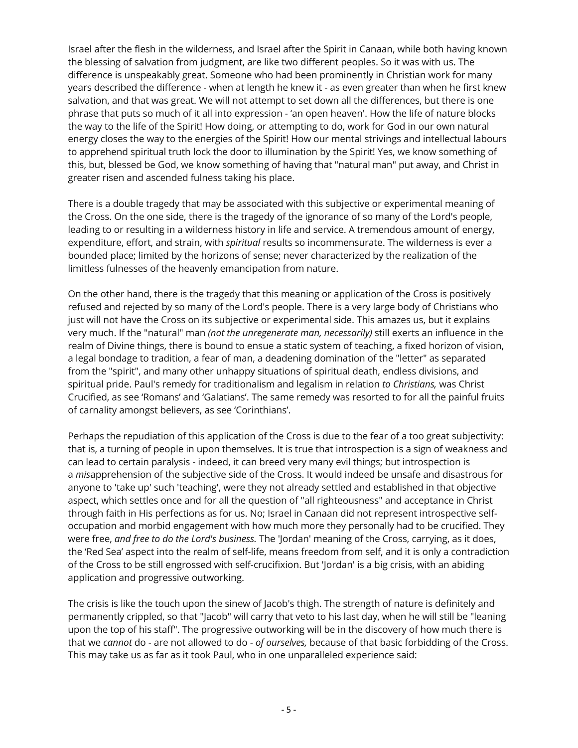Israel after the flesh in the wilderness, and Israel after the Spirit in Canaan, while both having known the blessing of salvation from judgment, are like two different peoples. So it was with us. The difference is unspeakably great. Someone who had been prominently in Christian work for many years described the difference - when at length he knew it - as even greater than when he first knew salvation, and that was great. We will not attempt to set down all the differences, but there is one phrase that puts so much of it all into expression - 'an open heaven'. How the life of nature blocks the way to the life of the Spirit! How doing, or attempting to do, work for God in our own natural energy closes the way to the energies of the Spirit! How our mental strivings and intellectual labours to apprehend spiritual truth lock the door to illumination by the Spirit! Yes, we know something of this, but, blessed be God, we know something of having that "natural man" put away, and Christ in greater risen and ascended fulness taking his place.

There is a double tragedy that may be associated with this subjective or experimental meaning of the Cross. On the one side, there is the tragedy of the ignorance of so many of the Lord's people, leading to or resulting in a wilderness history in life and service. A tremendous amount of energy, expenditure, effort, and strain, with *spiritual* results so incommensurate. The wilderness is ever a bounded place; limited by the horizons of sense; never characterized by the realization of the limitless fulnesses of the heavenly emancipation from nature.

On the other hand, there is the tragedy that this meaning or application of the Cross is positively refused and rejected by so many of the Lord's people. There is a very large body of Christians who just will not have the Cross on its subjective or experimental side. This amazes us, but it explains very much. If the "natural" man *(not the unregenerate man, necessarily)* still exerts an influence in the realm of Divine things, there is bound to ensue a static system of teaching, a fixed horizon of vision, a legal bondage to tradition, a fear of man, a deadening domination of the "letter" as separated from the "spirit", and many other unhappy situations of spiritual death, endless divisions, and spiritual pride. Paul's remedy for traditionalism and legalism in relation *to Christians,* was Christ Crucified, as see 'Romans' and 'Galatians'. The same remedy was resorted to for all the painful fruits of carnality amongst believers, as see 'Corinthians'.

Perhaps the repudiation of this application of the Cross is due to the fear of a too great subjectivity: that is, a turning of people in upon themselves. It is true that introspection is a sign of weakness and can lead to certain paralysis - indeed, it can breed very many evil things; but introspection is a *mis*apprehension of the subjective side of the Cross. It would indeed be unsafe and disastrous for anyone to 'take up' such 'teaching', were they not already settled and established in that objective aspect, which settles once and for all the question of "all righteousness" and acceptance in Christ through faith in His perfections as for us. No; Israel in Canaan did not represent introspective selfoccupation and morbid engagement with how much more they personally had to be crucified. They were free, *and free to do the Lord's business.* The 'Jordan' meaning of the Cross, carrying, as it does, the 'Red Sea' aspect into the realm of self-life, means freedom from self, and it is only a contradiction of the Cross to be still engrossed with self-crucifixion. But 'Jordan' is a big crisis, with an abiding application and progressive outworking.

The crisis is like the touch upon the sinew of Jacob's thigh. The strength of nature is definitely and permanently crippled, so that "Jacob" will carry that veto to his last day, when he will still be "leaning upon the top of his staff". The progressive outworking will be in the discovery of how much there is that we *cannot* do - are not allowed to do - *of ourselves,* because of that basic forbidding of the Cross. This may take us as far as it took Paul, who in one unparalleled experience said: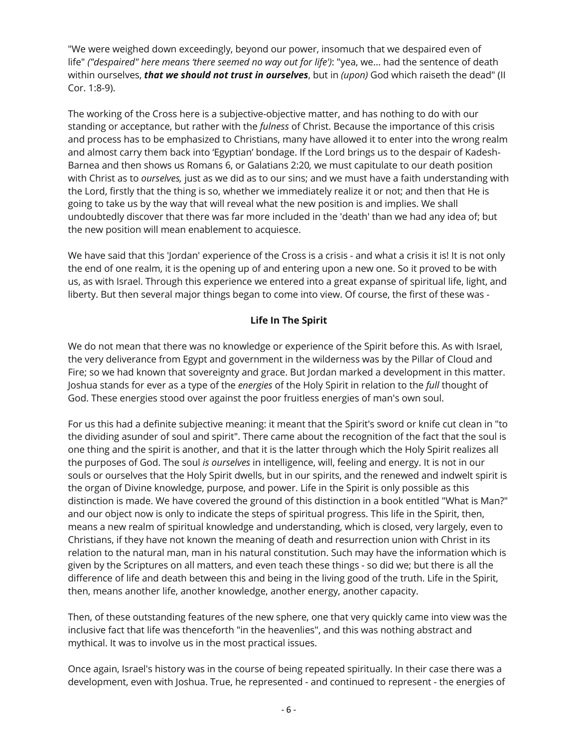"We were weighed down exceedingly, beyond our power, insomuch that we despaired even of life" *("despaired" here means 'there seemed no way out for life')*: "yea, we... had the sentence of death within ourselves, *that we should not trust in ourselves*, but in *(upon)* God which raiseth the dead" (II Cor. 1:8-9).

The working of the Cross here is a subjective-objective matter, and has nothing to do with our standing or acceptance, but rather with the *fulness* of Christ. Because the importance of this crisis and process has to be emphasized to Christians, many have allowed it to enter into the wrong realm and almost carry them back into 'Egyptian' bondage. If the Lord brings us to the despair of Kadesh-Barnea and then shows us Romans 6, or Galatians 2:20*,* we must capitulate to our death position with Christ as to *ourselves,* just as we did as to our sins; and we must have a faith understanding with the Lord, firstly that the thing is so, whether we immediately realize it or not; and then that He is going to take us by the way that will reveal what the new position is and implies. We shall undoubtedly discover that there was far more included in the 'death' than we had any idea of; but the new position will mean enablement to acquiesce.

We have said that this 'Jordan' experience of the Cross is a crisis - and what a crisis it is! It is not only the end of one realm, it is the opening up of and entering upon a new one. So it proved to be with us, as with Israel. Through this experience we entered into a great expanse of spiritual life, light, and liberty. But then several major things began to come into view. Of course, the first of these was -

#### **Life In The Spirit**

We do not mean that there was no knowledge or experience of the Spirit before this. As with Israel, the very deliverance from Egypt and government in the wilderness was by the Pillar of Cloud and Fire; so we had known that sovereignty and grace. But Jordan marked a development in this matter. Joshua stands for ever as a type of the *energies* of the Holy Spirit in relation to the *full* thought of God. These energies stood over against the poor fruitless energies of man's own soul.

For us this had a definite subjective meaning: it meant that the Spirit's sword or knife cut clean in "to the dividing asunder of soul and spirit". There came about the recognition of the fact that the soul is one thing and the spirit is another, and that it is the latter through which the Holy Spirit realizes all the purposes of God. The soul *is ourselves* in intelligence, will, feeling and energy. It is not in our souls or ourselves that the Holy Spirit dwells, but in our spirits, and the renewed and indwelt spirit is the organ of Divine knowledge, purpose, and power. Life in the Spirit is only possible as this distinction is made. We have covered the ground of this distinction in a book entitled "What is Man?" and our object now is only to indicate the steps of spiritual progress. This life in the Spirit, then, means a new realm of spiritual knowledge and understanding, which is closed, very largely, even to Christians, if they have not known the meaning of death and resurrection union with Christ in its relation to the natural man, man in his natural constitution. Such may have the information which is given by the Scriptures on all matters, and even teach these things - so did we; but there is all the difference of life and death between this and being in the living good of the truth. Life in the Spirit, then, means another life, another knowledge, another energy, another capacity.

Then, of these outstanding features of the new sphere, one that very quickly came into view was the inclusive fact that life was thenceforth "in the heavenlies", and this was nothing abstract and mythical. It was to involve us in the most practical issues.

Once again, Israel's history was in the course of being repeated spiritually. In their case there was a development, even with Joshua. True, he represented - and continued to represent - the energies of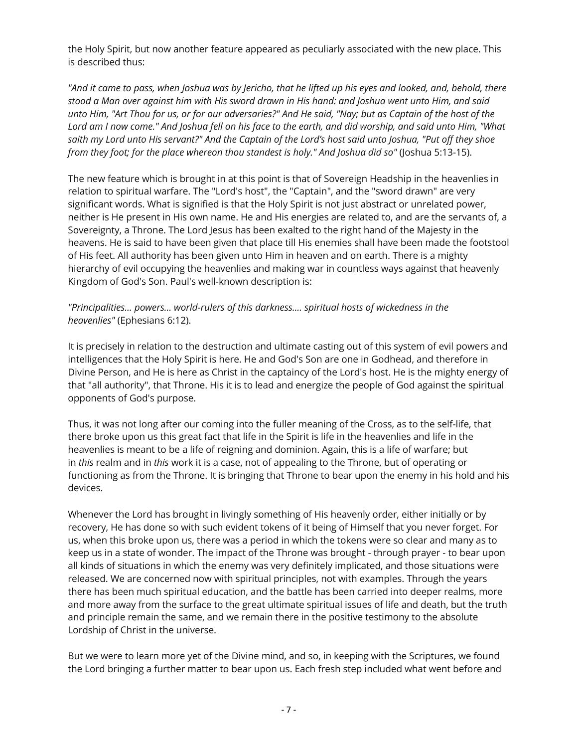the Holy Spirit, but now another feature appeared as peculiarly associated with the new place. This is described thus:

*"And it came to pass, when Joshua was by Jericho, that he lifted up his eyes and looked, and, behold, there stood a Man over against him with His sword drawn in His hand: and Joshua went unto Him, and said unto Him, "Art Thou for us, or for our adversaries?" And He said, "Nay; but as Captain of the host of the Lord am I now come." And Joshua fell on his face to the earth, and did worship, and said unto Him, "What saith my Lord unto His servant?" And the Captain of the Lord's host said unto Joshua, "Put off they shoe from they foot; for the place whereon thou standest is holy." And Joshua did so"* (Joshua 5:13-15).

The new feature which is brought in at this point is that of Sovereign Headship in the heavenlies in relation to spiritual warfare. The "Lord's host", the "Captain", and the "sword drawn" are very significant words. What is signified is that the Holy Spirit is not just abstract or unrelated power, neither is He present in His own name. He and His energies are related to, and are the servants of, a Sovereignty, a Throne. The Lord Jesus has been exalted to the right hand of the Majesty in the heavens. He is said to have been given that place till His enemies shall have been made the footstool of His feet. All authority has been given unto Him in heaven and on earth. There is a mighty hierarchy of evil occupying the heavenlies and making war in countless ways against that heavenly Kingdom of God's Son. Paul's well-known description is:

## *"Principalities... powers... world-rulers of this darkness.... spiritual hosts of wickedness in the heavenlies"* (Ephesians 6:12).

It is precisely in relation to the destruction and ultimate casting out of this system of evil powers and intelligences that the Holy Spirit is here. He and God's Son are one in Godhead, and therefore in Divine Person, and He is here as Christ in the captaincy of the Lord's host. He is the mighty energy of that "all authority", that Throne. His it is to lead and energize the people of God against the spiritual opponents of God's purpose.

Thus, it was not long after our coming into the fuller meaning of the Cross, as to the self-life, that there broke upon us this great fact that life in the Spirit is life in the heavenlies and life in the heavenlies is meant to be a life of reigning and dominion. Again, this is a life of warfare; but in *this* realm and in *this* work it is a case, not of appealing to the Throne, but of operating or functioning as from the Throne. It is bringing that Throne to bear upon the enemy in his hold and his devices.

Whenever the Lord has brought in livingly something of His heavenly order, either initially or by recovery, He has done so with such evident tokens of it being of Himself that you never forget. For us, when this broke upon us, there was a period in which the tokens were so clear and many as to keep us in a state of wonder. The impact of the Throne was brought - through prayer - to bear upon all kinds of situations in which the enemy was very definitely implicated, and those situations were released. We are concerned now with spiritual principles, not with examples. Through the years there has been much spiritual education, and the battle has been carried into deeper realms, more and more away from the surface to the great ultimate spiritual issues of life and death, but the truth and principle remain the same, and we remain there in the positive testimony to the absolute Lordship of Christ in the universe.

But we were to learn more yet of the Divine mind, and so, in keeping with the Scriptures, we found the Lord bringing a further matter to bear upon us. Each fresh step included what went before and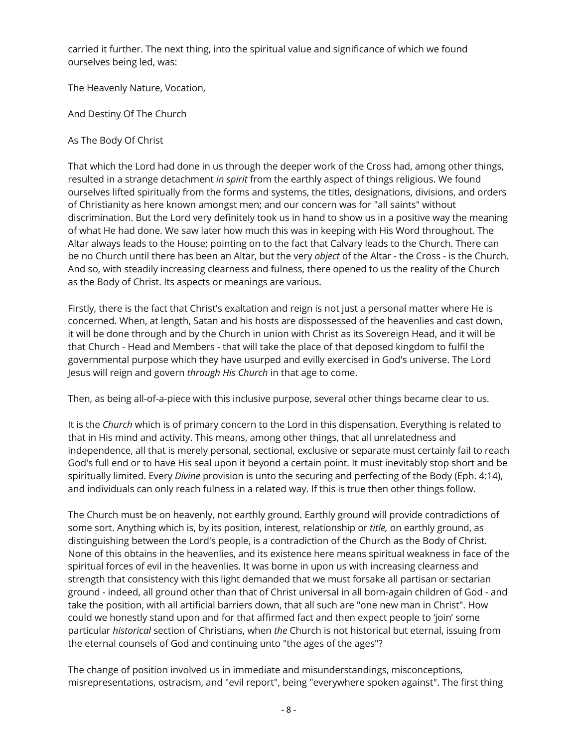carried it further. The next thing, into the spiritual value and significance of which we found ourselves being led, was:

The Heavenly Nature, Vocation,

And Destiny Of The Church

As The Body Of Christ

That which the Lord had done in us through the deeper work of the Cross had, among other things, resulted in a strange detachment *in spirit* from the earthly aspect of things religious. We found ourselves lifted spiritually from the forms and systems, the titles, designations, divisions, and orders of Christianity as here known amongst men; and our concern was for "all saints" without discrimination. But the Lord very definitely took us in hand to show us in a positive way the meaning of what He had done. We saw later how much this was in keeping with His Word throughout. The Altar always leads to the House; pointing on to the fact that Calvary leads to the Church. There can be no Church until there has been an Altar, but the very *object* of the Altar - the Cross - is the Church. And so, with steadily increasing clearness and fulness, there opened to us the reality of the Church as the Body of Christ. Its aspects or meanings are various.

Firstly, there is the fact that Christ's exaltation and reign is not just a personal matter where He is concerned. When, at length, Satan and his hosts are dispossessed of the heavenlies and cast down, it will be done through and by the Church in union with Christ as its Sovereign Head, and it will be that Church - Head and Members - that will take the place of that deposed kingdom to fulfil the governmental purpose which they have usurped and evilly exercised in God's universe. The Lord Jesus will reign and govern *through His Church* in that age to come.

Then, as being all-of-a-piece with this inclusive purpose, several other things became clear to us.

It is the *Church* which is of primary concern to the Lord in this dispensation. Everything is related to that in His mind and activity. This means, among other things, that all unrelatedness and independence, all that is merely personal, sectional, exclusive or separate must certainly fail to reach God's full end or to have His seal upon it beyond a certain point. It must inevitably stop short and be spiritually limited. Every *Divine* provision is unto the securing and perfecting of the Body (Eph. 4:14), and individuals can only reach fulness in a related way. If this is true then other things follow.

The Church must be on heavenly, not earthly ground. Earthly ground will provide contradictions of some sort. Anything which is, by its position, interest, relationship or *title,* on earthly ground, as distinguishing between the Lord's people, is a contradiction of the Church as the Body of Christ. None of this obtains in the heavenlies, and its existence here means spiritual weakness in face of the spiritual forces of evil in the heavenlies. It was borne in upon us with increasing clearness and strength that consistency with this light demanded that we must forsake all partisan or sectarian ground - indeed, all ground other than that of Christ universal in all born-again children of God - and take the position, with all artificial barriers down, that all such are "one new man in Christ". How could we honestly stand upon and for that affirmed fact and then expect people to 'join' some particular *historical* section of Christians, when *the* Church is not historical but eternal, issuing from the eternal counsels of God and continuing unto "the ages of the ages"?

The change of position involved us in immediate and misunderstandings, misconceptions, misrepresentations, ostracism, and "evil report", being "everywhere spoken against". The first thing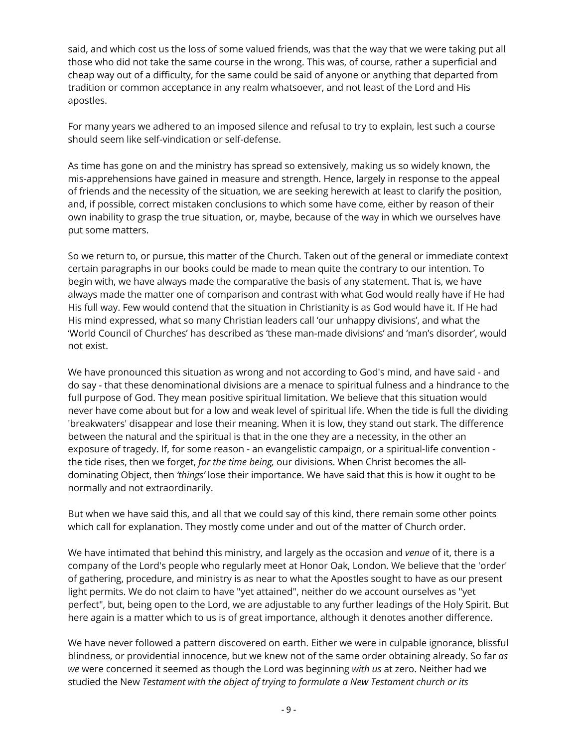said, and which cost us the loss of some valued friends, was that the way that we were taking put all those who did not take the same course in the wrong. This was, of course, rather a superficial and cheap way out of a difficulty, for the same could be said of anyone or anything that departed from tradition or common acceptance in any realm whatsoever, and not least of the Lord and His apostles.

For many years we adhered to an imposed silence and refusal to try to explain, lest such a course should seem like self-vindication or self-defense.

As time has gone on and the ministry has spread so extensively, making us so widely known, the mis-apprehensions have gained in measure and strength. Hence, largely in response to the appeal of friends and the necessity of the situation, we are seeking herewith at least to clarify the position, and, if possible, correct mistaken conclusions to which some have come, either by reason of their own inability to grasp the true situation, or, maybe, because of the way in which we ourselves have put some matters.

So we return to, or pursue, this matter of the Church. Taken out of the general or immediate context certain paragraphs in our books could be made to mean quite the contrary to our intention. To begin with, we have always made the comparative the basis of any statement. That is, we have always made the matter one of comparison and contrast with what God would really have if He had His full way. Few would contend that the situation in Christianity is as God would have it. If He had His mind expressed, what so many Christian leaders call 'our unhappy divisions', and what the 'World Council of Churches' has described as 'these man-made divisions' and 'man's disorder', would not exist.

We have pronounced this situation as wrong and not according to God's mind, and have said - and do say - that these denominational divisions are a menace to spiritual fulness and a hindrance to the full purpose of God. They mean positive spiritual limitation. We believe that this situation would never have come about but for a low and weak level of spiritual life. When the tide is full the dividing 'breakwaters' disappear and lose their meaning. When it is low, they stand out stark. The difference between the natural and the spiritual is that in the one they are a necessity, in the other an exposure of tragedy. If, for some reason - an evangelistic campaign, or a spiritual-life convention the tide rises, then we forget, *for the time being,* our divisions. When Christ becomes the alldominating Object, then *'things'* lose their importance. We have said that this is how it ought to be normally and not extraordinarily.

But when we have said this, and all that we could say of this kind, there remain some other points which call for explanation. They mostly come under and out of the matter of Church order.

We have intimated that behind this ministry, and largely as the occasion and *venue* of it, there is a company of the Lord's people who regularly meet at Honor Oak, London. We believe that the 'order' of gathering, procedure, and ministry is as near to what the Apostles sought to have as our present light permits. We do not claim to have "yet attained", neither do we account ourselves as "yet perfect", but, being open to the Lord, we are adjustable to any further leadings of the Holy Spirit. But here again is a matter which to us is of great importance, although it denotes another difference.

We have never followed a pattern discovered on earth. Either we were in culpable ignorance, blissful blindness, or providential innocence, but we knew not of the same order obtaining already. So far *as we* were concerned it seemed as though the Lord was beginning *with us* at zero. Neither had we studied the New *Testament with the object of trying to formulate a New Testament church or its*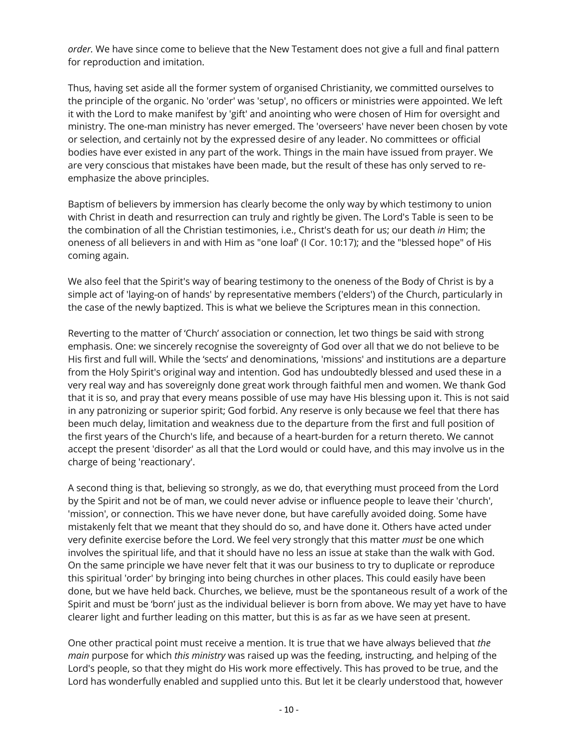*order.* We have since come to believe that the New Testament does not give a full and final pattern for reproduction and imitation.

Thus, having set aside all the former system of organised Christianity, we committed ourselves to the principle of the organic. No 'order' was 'setup', no officers or ministries were appointed. We left it with the Lord to make manifest by 'gift' and anointing who were chosen of Him for oversight and ministry. The one-man ministry has never emerged. The 'overseers' have never been chosen by vote or selection, and certainly not by the expressed desire of any leader. No committees or official bodies have ever existed in any part of the work. Things in the main have issued from prayer. We are very conscious that mistakes have been made, but the result of these has only served to reemphasize the above principles.

Baptism of believers by immersion has clearly become the only way by which testimony to union with Christ in death and resurrection can truly and rightly be given. The Lord's Table is seen to be the combination of all the Christian testimonies, i.e., Christ's death for us; our death *in* Him; the oneness of all believers in and with Him as "one loaf' (I Cor. 10:17); and the "blessed hope" of His coming again.

We also feel that the Spirit's way of bearing testimony to the oneness of the Body of Christ is by a simple act of 'laying-on of hands' by representative members ('elders') of the Church, particularly in the case of the newly baptized. This is what we believe the Scriptures mean in this connection.

Reverting to the matter of 'Church' association or connection, let two things be said with strong emphasis. One: we sincerely recognise the sovereignty of God over all that we do not believe to be His first and full will. While the 'sects' and denominations, 'missions' and institutions are a departure from the Holy Spirit's original way and intention. God has undoubtedly blessed and used these in a very real way and has sovereignly done great work through faithful men and women. We thank God that it is so, and pray that every means possible of use may have His blessing upon it. This is not said in any patronizing or superior spirit; God forbid. Any reserve is only because we feel that there has been much delay, limitation and weakness due to the departure from the first and full position of the first years of the Church's life, and because of a heart-burden for a return thereto. We cannot accept the present 'disorder' as all that the Lord would or could have, and this may involve us in the charge of being 'reactionary'.

A second thing is that, believing so strongly, as we do, that everything must proceed from the Lord by the Spirit and not be of man, we could never advise or influence people to leave their 'church', 'mission', or connection. This we have never done, but have carefully avoided doing. Some have mistakenly felt that we meant that they should do so, and have done it. Others have acted under very definite exercise before the Lord. We feel very strongly that this matter *must* be one which involves the spiritual life, and that it should have no less an issue at stake than the walk with God. On the same principle we have never felt that it was our business to try to duplicate or reproduce this spiritual 'order' by bringing into being churches in other places. This could easily have been done, but we have held back. Churches, we believe, must be the spontaneous result of a work of the Spirit and must be 'born' just as the individual believer is born from above. We may yet have to have clearer light and further leading on this matter, but this is as far as we have seen at present.

One other practical point must receive a mention. It is true that we have always believed that *the main* purpose for which *this ministry* was raised up was the feeding, instructing, and helping of the Lord's people, so that they might do His work more effectively. This has proved to be true, and the Lord has wonderfully enabled and supplied unto this. But let it be clearly understood that, however